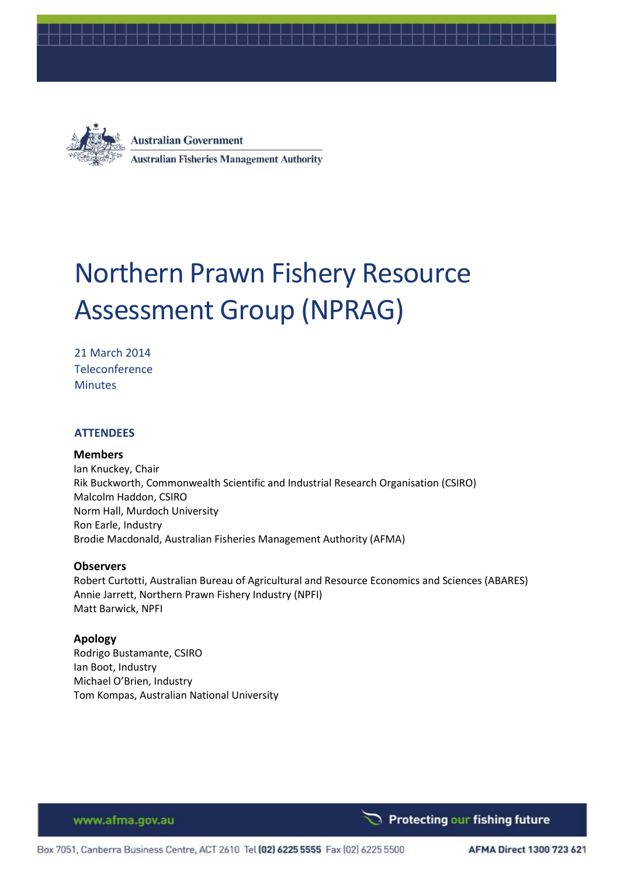



**Australian Government Australian Fisheries Management Authority** 

# Northern Prawn Fishery Resource Assessment Group (NPRAG)

21 March 2014 **Teleconference Minutes** 

#### **ATTENDEES**

#### **Members**

Ian Knuckey, Chair Rik Buckworth, Commonwealth Scientific and Industrial Research Organisation (CSIRO) Malcolm Haddon, CSIRO Norm Hall, Murdoch University Ron Earle, Industry Brodie Macdonald, Australian Fisheries Management Authority (AFMA)

#### **Observers**

Robert Curtotti, Australian Bureau of Agricultural and Resource Economics and Sciences (ABARES) Annie Jarrett, Northern Prawn Fishery Industry (NPFI) Matt Barwick, NPFI

#### **Apology**

Rodrigo Bustamante, CSIRO Ian Boot, Industry Michael O'Brien, Industry Tom Kompas, Australian National University

www.afma.gov.au

Protecting our fishing future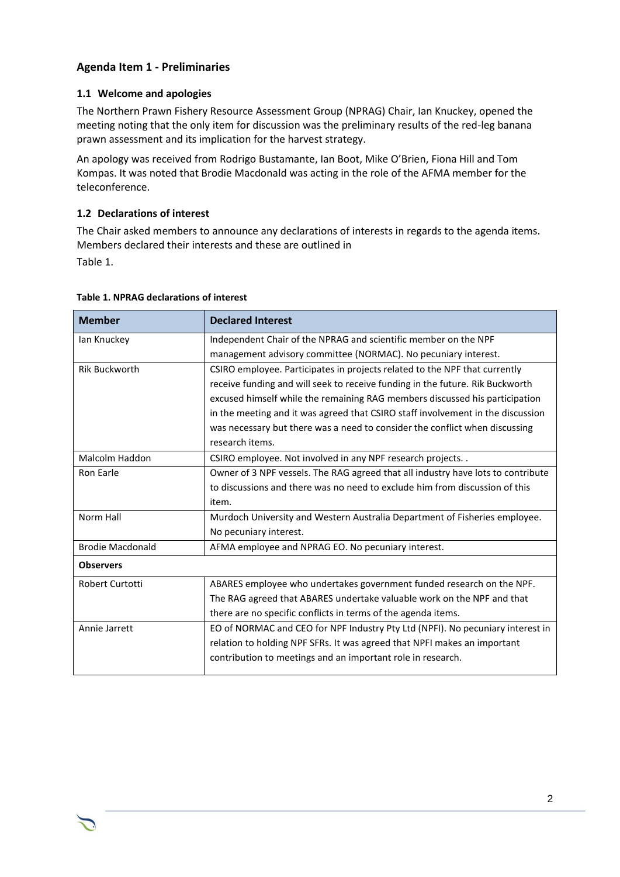# **Agenda Item 1 - Preliminaries**

#### **1.1 Welcome and apologies**

The Northern Prawn Fishery Resource Assessment Group (NPRAG) Chair, Ian Knuckey, opened the meeting noting that the only item for discussion was the preliminary results of the red-leg banana prawn assessment and its implication for the harvest strategy.

An apology was received from Rodrigo Bustamante, Ian Boot, Mike O'Brien, Fiona Hill and Tom Kompas. It was noted that Brodie Macdonald was acting in the role of the AFMA member for the teleconference.

#### **1.2 Declarations of interest**

The Chair asked members to announce any declarations of interests in regards to the agenda items. Members declared their interests and these are outlined in [Table 1.](#page-1-0)

<span id="page-1-0"></span>

| <b>Member</b>           | <b>Declared Interest</b>                                                         |
|-------------------------|----------------------------------------------------------------------------------|
| lan Knuckey             | Independent Chair of the NPRAG and scientific member on the NPF                  |
|                         | management advisory committee (NORMAC). No pecuniary interest.                   |
| Rik Buckworth           | CSIRO employee. Participates in projects related to the NPF that currently       |
|                         | receive funding and will seek to receive funding in the future. Rik Buckworth    |
|                         | excused himself while the remaining RAG members discussed his participation      |
|                         | in the meeting and it was agreed that CSIRO staff involvement in the discussion  |
|                         | was necessary but there was a need to consider the conflict when discussing      |
|                         | research items.                                                                  |
| Malcolm Haddon          | CSIRO employee. Not involved in any NPF research projects. .                     |
| Ron Earle               | Owner of 3 NPF vessels. The RAG agreed that all industry have lots to contribute |
|                         | to discussions and there was no need to exclude him from discussion of this      |
|                         | item.                                                                            |
| Norm Hall               | Murdoch University and Western Australia Department of Fisheries employee.       |
|                         | No pecuniary interest.                                                           |
| <b>Brodie Macdonald</b> | AFMA employee and NPRAG EO. No pecuniary interest.                               |
| <b>Observers</b>        |                                                                                  |
| Robert Curtotti         | ABARES employee who undertakes government funded research on the NPF.            |
|                         | The RAG agreed that ABARES undertake valuable work on the NPF and that           |
|                         | there are no specific conflicts in terms of the agenda items.                    |
| Annie Jarrett           | EO of NORMAC and CEO for NPF Industry Pty Ltd (NPFI). No pecuniary interest in   |
|                         | relation to holding NPF SFRs. It was agreed that NPFI makes an important         |
|                         | contribution to meetings and an important role in research.                      |
|                         |                                                                                  |

#### **Table 1. NPRAG declarations of interest**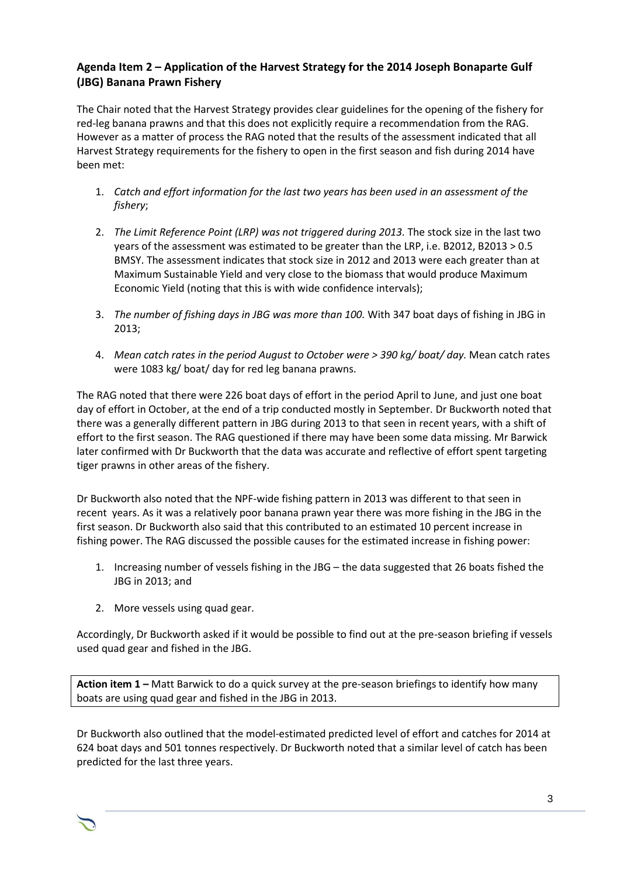# **Agenda Item 2 – Application of the Harvest Strategy for the 2014 Joseph Bonaparte Gulf (JBG) Banana Prawn Fishery**

The Chair noted that the Harvest Strategy provides clear guidelines for the opening of the fishery for red-leg banana prawns and that this does not explicitly require a recommendation from the RAG. However as a matter of process the RAG noted that the results of the assessment indicated that all Harvest Strategy requirements for the fishery to open in the first season and fish during 2014 have been met:

- 1. *Catch and effort information for the last two years has been used in an assessment of the fishery*;
- 2. *The Limit Reference Point (LRP) was not triggered during 2013.* The stock size in the last two years of the assessment was estimated to be greater than the LRP, i.e. B2012, B2013 > 0.5 BMSY. The assessment indicates that stock size in 2012 and 2013 were each greater than at Maximum Sustainable Yield and very close to the biomass that would produce Maximum Economic Yield (noting that this is with wide confidence intervals);
- 3. *The number of fishing days in JBG was more than 100.* With 347 boat days of fishing in JBG in 2013;
- 4. *Mean catch rates in the period August to October were > 390 kg/ boat/ day.* Mean catch rates were 1083 kg/ boat/ day for red leg banana prawns.

The RAG noted that there were 226 boat days of effort in the period April to June, and just one boat day of effort in October, at the end of a trip conducted mostly in September. Dr Buckworth noted that there was a generally different pattern in JBG during 2013 to that seen in recent years, with a shift of effort to the first season. The RAG questioned if there may have been some data missing. Mr Barwick later confirmed with Dr Buckworth that the data was accurate and reflective of effort spent targeting tiger prawns in other areas of the fishery.

Dr Buckworth also noted that the NPF-wide fishing pattern in 2013 was different to that seen in recent years. As it was a relatively poor banana prawn year there was more fishing in the JBG in the first season. Dr Buckworth also said that this contributed to an estimated 10 percent increase in fishing power. The RAG discussed the possible causes for the estimated increase in fishing power:

- 1. Increasing number of vessels fishing in the JBG the data suggested that 26 boats fished the JBG in 2013; and
- 2. More vessels using quad gear.

Accordingly, Dr Buckworth asked if it would be possible to find out at the pre-season briefing if vessels used quad gear and fished in the JBG.

**Action item 1 –** Matt Barwick to do a quick survey at the pre-season briefings to identify how many boats are using quad gear and fished in the JBG in 2013.

Dr Buckworth also outlined that the model-estimated predicted level of effort and catches for 2014 at 624 boat days and 501 tonnes respectively. Dr Buckworth noted that a similar level of catch has been predicted for the last three years.